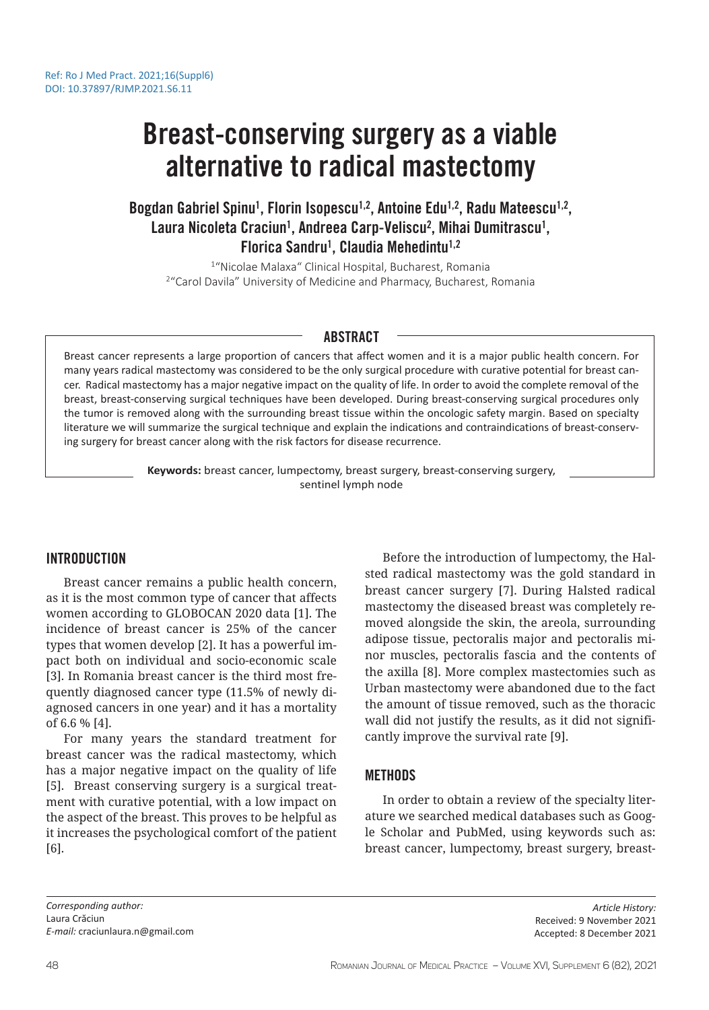# Breast-conserving surgery as a viable alternative to radical mastectomy

Bogdan Gabriel Spinu<sup>1</sup>, Florin Isopescu<sup>1,2</sup>, Antoine Edu<sup>1,2</sup>, Radu Mateescu<sup>1,2</sup>, Laura Nicoleta Craciun<sup>1</sup>, Andreea Carp-Veliscu<sup>2</sup>, Mihai Dumitrascu<sup>1</sup>, Florica Sandru<sup>1</sup>, Claudia Mehedintu<sup>1,2</sup>

<sup>1</sup>"Nicolae Malaxa" Clinical Hospital, Bucharest, Romania <sup>2</sup> "Carol Davila" University of Medicine and Pharmacy, Bucharest, Romania

## ABSTRACT

Breast cancer represents a large proportion of cancers that affect women and it is a major public health concern. For many years radical mastectomy was considered to be the only surgical procedure with curative potential for breast cancer. Radical mastectomy has a major negative impact on the quality of life. In order to avoid the complete removal of the breast, breast-conserving surgical techniques have been developed. During breast-conserving surgical procedures only the tumor is removed along with the surrounding breast tissue within the oncologic safety margin. Based on specialty literature we will summarize the surgical technique and explain the indications and contraindications of breast-conserving surgery for breast cancer along with the risk factors for disease recurrence.

> **Keywords:** breast cancer, lumpectomy, breast surgery, breast-conserving surgery, sentinel lymph node

# INTRODUCTION

Breast cancer remains a public health concern, as it is the most common type of cancer that affects women according to GLOBOCAN 2020 data [1]. The incidence of breast cancer is 25% of the cancer types that women develop [2]. It has a powerful impact both on individual and socio-economic scale [3]. In Romania breast cancer is the third most frequently diagnosed cancer type (11.5% of newly diagnosed cancers in one year) and it has a mortality of 6.6 % [4].

For many years the standard treatment for breast cancer was the radical mastectomy, which has a major negative impact on the quality of life [5]. Breast conserving surgery is a surgical treatment with curative potential, with a low impact on the aspect of the breast. This proves to be helpful as it increases the psychological comfort of the patient [6].

Before the introduction of lumpectomy, the Halsted radical mastectomy was the gold standard in breast cancer surgery [7]. During Halsted radical mastectomy the diseased breast was completely removed alongside the skin, the areola, surrounding adipose tissue, pectoralis major and pectoralis minor muscles, pectoralis fascia and the contents of the axilla [8]. More complex mastectomies such as Urban mastectomy were abandoned due to the fact the amount of tissue removed, such as the thoracic wall did not justify the results, as it did not significantly improve the survival rate [9].

# **METHODS**

In order to obtain a review of the specialty literature we searched medical databases such as Google Scholar and PubMed, using keywords such as: breast cancer, lumpectomy, breast surgery, breast-

*Corresponding author:* Laura Crăciun *E-mail:* craciunlaura.n@gmail.com

*Article History:* Received: 9 November 2021 Accepted: 8 December 2021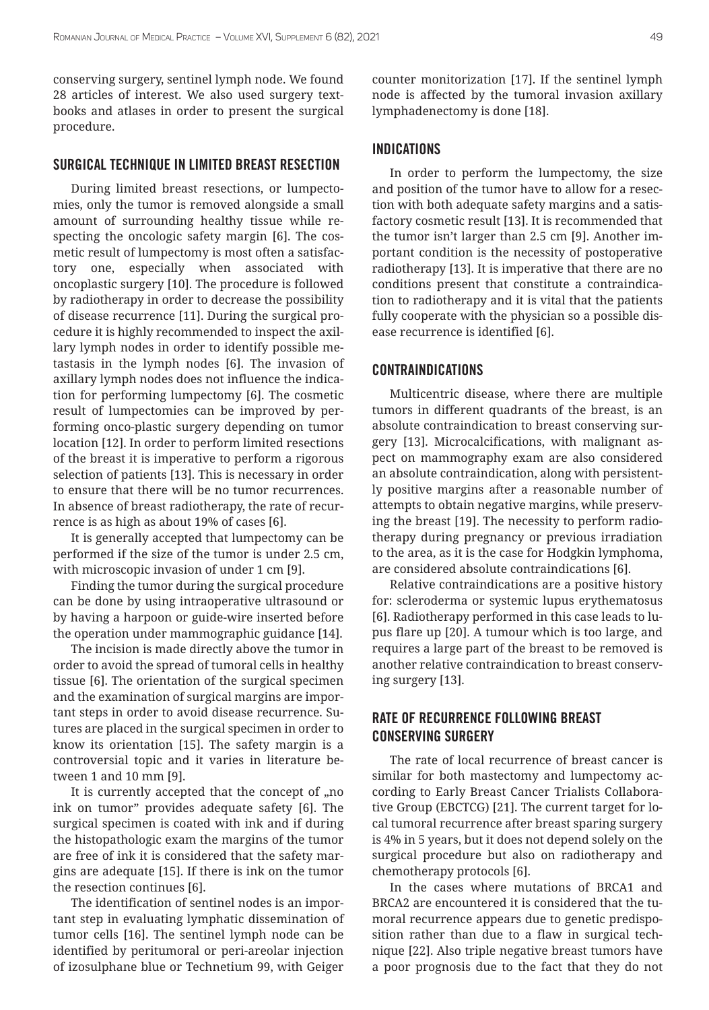conserving surgery, sentinel lymph node. We found 28 articles of interest. We also used surgery textbooks and atlases in order to present the surgical procedure.

#### SURGICAL TECHNIQUE IN LIMITED BREAST RESECTION

During limited breast resections, or lumpectomies, only the tumor is removed alongside a small amount of surrounding healthy tissue while respecting the oncologic safety margin [6]. The cosmetic result of lumpectomy is most often a satisfactory one, especially when associated with oncoplastic surgery [10]. The procedure is followed by radiotherapy in order to decrease the possibility of disease recurrence [11]. During the surgical procedure it is highly recommended to inspect the axillary lymph nodes in order to identify possible metastasis in the lymph nodes [6]. The invasion of axillary lymph nodes does not influence the indication for performing lumpectomy [6]. The cosmetic result of lumpectomies can be improved by performing onco-plastic surgery depending on tumor location [12]. In order to perform limited resections of the breast it is imperative to perform a rigorous selection of patients [13]. This is necessary in order to ensure that there will be no tumor recurrences. In absence of breast radiotherapy, the rate of recurrence is as high as about 19% of cases [6].

It is generally accepted that lumpectomy can be performed if the size of the tumor is under 2.5 cm, with microscopic invasion of under 1 cm [9].

Finding the tumor during the surgical procedure can be done by using intraoperative ultrasound or by having a harpoon or guide-wire inserted before the operation under mammographic guidance [14].

The incision is made directly above the tumor in order to avoid the spread of tumoral cells in healthy tissue [6]. The orientation of the surgical specimen and the examination of surgical margins are important steps in order to avoid disease recurrence. Sutures are placed in the surgical specimen in order to know its orientation [15]. The safety margin is a controversial topic and it varies in literature between 1 and 10 mm [9].

It is currently accepted that the concept of  $n$ o. ink on tumor" provides adequate safety [6]. The surgical specimen is coated with ink and if during the histopathologic exam the margins of the tumor are free of ink it is considered that the safety margins are adequate [15]. If there is ink on the tumor the resection continues [6].

The identification of sentinel nodes is an important step in evaluating lymphatic dissemination of tumor cells [16]. The sentinel lymph node can be identified by peritumoral or peri-areolar injection of izosulphane blue or Technetium 99, with Geiger counter monitorization [17]. If the sentinel lymph node is affected by the tumoral invasion axillary lymphadenectomy is done [18].

#### INDICATIONS

In order to perform the lumpectomy, the size and position of the tumor have to allow for a resection with both adequate safety margins and a satisfactory cosmetic result [13]. It is recommended that the tumor isn't larger than 2.5 cm [9]. Another important condition is the necessity of postoperative radiotherapy [13]. It is imperative that there are no conditions present that constitute a contraindication to radiotherapy and it is vital that the patients fully cooperate with the physician so a possible disease recurrence is identified [6].

## CONTRAINDICATIONS

Multicentric disease, where there are multiple tumors in different quadrants of the breast, is an absolute contraindication to breast conserving surgery [13]. Microcalcifications, with malignant aspect on mammography exam are also considered an absolute contraindication, along with persistently positive margins after a reasonable number of attempts to obtain negative margins, while preserving the breast [19]. The necessity to perform radiotherapy during pregnancy or previous irradiation to the area, as it is the case for Hodgkin lymphoma, are considered absolute contraindications [6].

Relative contraindications are a positive history for: scleroderma or systemic lupus erythematosus [6]. Radiotherapy performed in this case leads to lupus flare up [20]. A tumour which is too large, and requires a large part of the breast to be removed is another relative contraindication to breast conserving surgery [13].

# RATE OF RECURRENCE FOLLOWING BREAST CONSERVING SURGERY

The rate of local recurrence of breast cancer is similar for both mastectomy and lumpectomy according to Early Breast Cancer Trialists Collaborative Group (EBCTCG) [21]. The current target for local tumoral recurrence after breast sparing surgery is 4% in 5 years, but it does not depend solely on the surgical procedure but also on radiotherapy and chemotherapy protocols [6].

In the cases where mutations of BRCA1 and BRCA2 are encountered it is considered that the tumoral recurrence appears due to genetic predisposition rather than due to a flaw in surgical technique [22]. Also triple negative breast tumors have a poor prognosis due to the fact that they do not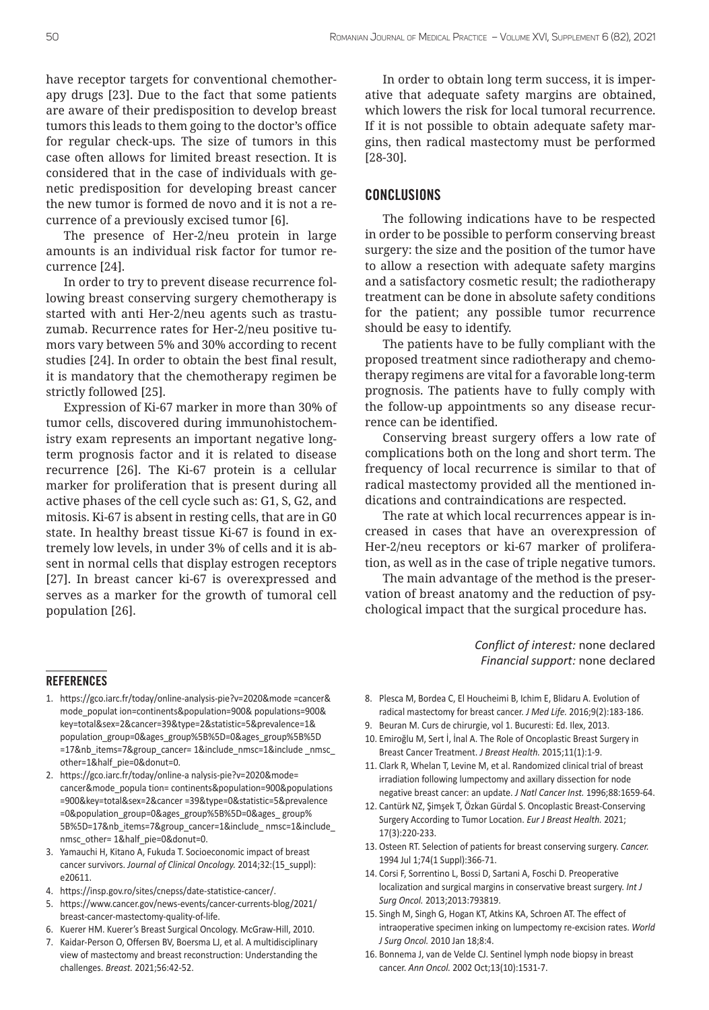have receptor targets for conventional chemotherapy drugs [23]. Due to the fact that some patients are aware of their predisposition to develop breast tumors this leads to them going to the doctor's office for regular check-ups. The size of tumors in this case often allows for limited breast resection. It is considered that in the case of individuals with genetic predisposition for developing breast cancer the new tumor is formed de novo and it is not a recurrence of a previously excised tumor [6].

The presence of Her-2/neu protein in large amounts is an individual risk factor for tumor recurrence [24].

In order to try to prevent disease recurrence following breast conserving surgery chemotherapy is started with anti Her-2/neu agents such as trastuzumab. Recurrence rates for Her-2/neu positive tumors vary between 5% and 30% according to recent studies [24]. In order to obtain the best final result, it is mandatory that the chemotherapy regimen be strictly followed [25].

Expression of Ki-67 marker in more than 30% of tumor cells, discovered during immunohistochemistry exam represents an important negative longterm prognosis factor and it is related to disease recurrence [26]. The Ki-67 protein is a cellular marker for proliferation that is present during all active phases of the cell cycle such as: G1, S, G2, and mitosis. Ki-67 is absent in resting cells, that are in G0 state. In healthy breast tissue Ki-67 is found in extremely low levels, in under 3% of cells and it is absent in normal cells that display estrogen receptors [27]. In breast cancer ki-67 is overexpressed and serves as a marker for the growth of tumoral cell population [26].

In order to obtain long term success, it is imperative that adequate safety margins are obtained, which lowers the risk for local tumoral recurrence. If it is not possible to obtain adequate safety margins, then radical mastectomy must be performed [28-30].

#### CONCLUSIONS

The following indications have to be respected in order to be possible to perform conserving breast surgery: the size and the position of the tumor have to allow a resection with adequate safety margins and a satisfactory cosmetic result; the radiotherapy treatment can be done in absolute safety conditions for the patient; any possible tumor recurrence should be easy to identify.

The patients have to be fully compliant with the proposed treatment since radiotherapy and chemotherapy regimens are vital for a favorable long-term prognosis. The patients have to fully comply with the follow-up appointments so any disease recurrence can be identified.

Conserving breast surgery offers a low rate of complications both on the long and short term. The frequency of local recurrence is similar to that of radical mastectomy provided all the mentioned indications and contraindications are respected.

The rate at which local recurrences appear is increased in cases that have an overexpression of Her-2/neu receptors or ki-67 marker of proliferation, as well as in the case of triple negative tumors.

The main advantage of the method is the preservation of breast anatomy and the reduction of psychological impact that the surgical procedure has.

> *Conflict of interest:* none declared *Financial support:* none declared

#### **REFERENCES**

- 1. https://gco.iarc.fr/today/online-analysis-pie?v=2020&mode =cancer& mode\_populat ion=continents&population=900& populations=900& key=total&sex=2&cancer=39&type=2&statistic=5&prevalence=1& population\_group=0&ages\_group%5B%5D=0&ages\_group%5B%5D =17&nb\_items=7&group\_cancer= 1&include\_nmsc=1&include \_nmsc\_ other=1&half\_pie=0&donut=0.
- 2. https://gco.iarc.fr/today/online-a nalysis-pie?v=2020&mode= cancer&mode\_popula tion= continents&population=900&populations =900&key=total&sex=2&cancer =39&type=0&statistic=5&prevalence =0&population\_group=0&ages\_group%5B%5D=0&ages\_ group% 5B%5D=17&nb\_items=7&group\_cancer=1&include\_ nmsc=1&include\_ nmsc\_other= 1&half\_pie=0&donut=0.
- 3. Yamauchi H, Kitano A, Fukuda T. Socioeconomic impact of breast cancer survivors. *Journal of Clinical Oncology.* 2014;32:(15\_suppl): e20611.
- 4. https://insp.gov.ro/sites/cnepss/date-statistice-cancer/.
- 5. https://www.cancer.gov/news-events/cancer-currents-blog/2021/ breast-cancer-mastectomy-quality-of-life.
- 6. Kuerer HM. Kuerer's Breast Surgical Oncology. McGraw-Hill, 2010.
- 7. Kaidar-Person O, Offersen BV, Boersma LJ, et al. A multidisciplinary view of mastectomy and breast reconstruction: Understanding the challenges. *Breast.* 2021;56:42-52.
- 8. Plesca M, Bordea C, El Houcheimi B, Ichim E, Blidaru A. Evolution of radical mastectomy for breast cancer. *J Med Life.* 2016;9(2):183-186.
- 9. Beuran M. Curs de chirurgie, vol 1. Bucuresti: Ed. Ilex, 2013.
- 10. Emiroğlu M, Sert İ, İnal A. The Role of Oncoplastic Breast Surgery in Breast Cancer Treatment. *J Breast Health.* 2015;11(1):1-9.
- 11. Clark R, Whelan T, Levine M, et al. Randomized clinical trial of breast irradiation following lumpectomy and axillary dissection for node negative breast cancer: an update. *J Natl Cancer Inst.* 1996;88:1659-64.
- 12. Cantürk NZ, Şimşek T, Özkan Gürdal S. Oncoplastic Breast-Conserving Surgery According to Tumor Location. *Eur J Breast Health.* 2021; 17(3):220-233.
- 13. Osteen RT. Selection of patients for breast conserving surgery. *Cancer.*  1994 Jul 1;74(1 Suppl):366-71.
- 14. Corsi F, Sorrentino L, Bossi D, Sartani A, Foschi D. Preoperative localization and surgical margins in conservative breast surgery. *Int J Surg Oncol.* 2013;2013:793819.
- 15. Singh M, Singh G, Hogan KT, Atkins KA, Schroen AT. The effect of intraoperative specimen inking on lumpectomy re-excision rates. *World J Surg Oncol.* 2010 Jan 18;8:4.
- 16. Bonnema J, van de Velde CJ. Sentinel lymph node biopsy in breast cancer. *Ann Oncol.* 2002 Oct;13(10):1531-7.